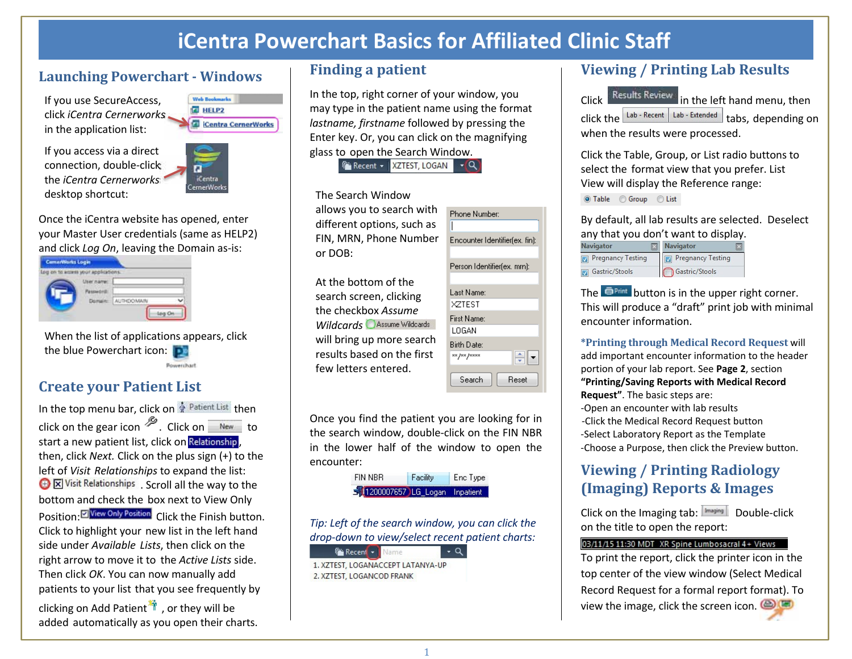# **iCentra Powerchart Basics for Affiliated Clinic Staf f**

### **Launching Powerchart ‐ Windows**

If you use SecureAccess, click *iCentra Cernerworks*  in the application list:

If you access via a direct connection, double‐click the *iCentra Cernerworks* desktop shortcut:



**E** HELP2

Once the iCentra website has opened, enter your Master User credentials (same as HELP2) and click *Log On*, leaving the Domain as‐is:

| Log on to access your applications. |                   |  |
|-------------------------------------|-------------------|--|
| --                                  |                   |  |
|                                     | <b>AUTHDOMAIN</b> |  |

When the list of applications appears, click the blue Powerchart icon: D Powerchart

### **Create your Patient List**

In the top menu bar, click on  $\frac{1}{N}$  Patient List then click on the gear icon  $\frac{1}{2}$ . Click on  $\frac{1}{2}$  to start a new patient list, click on Relationship, then, click *Next.* Click on the plus sign (+) to the left of *Visit Relationships* to expand the list: **I.** Scroll all the way to the bottom and check the box next to View Only Position: Click the Finish button. Click to highlight your new list in the left hand side under *Available Lists*, then click on the right arrow to move it to the *Active Lists* side. Then click *OK*. You can now manually add patients to your list that you see frequently by

clicking on Add Patient  $\ddot{m}$ , or they will be added automatically as you open their charts.

### **Finding a patient**

In the top, right corner of your window, you may type in the patient name using the format *lastname, firstname* followed by pressing the Enter key. Or, you can click on the magnifying glass to open the Search Window.

F Recent - XZTEST, LOGAN  $-\alpha$ 

#### The Search Window

allows you to search with different options, such as FIN, MRN, Phone Number or DOB:

At the bottom of the search screen, clicking the checkbox *Assume Wildcards Assume Wildcards* will bring up more search results based on the first few letters entered.



Once you find the patient you are looking for in the search window, double‐click on the FIN NBR in the lower half of the window to open the encounter:

> **FIN NBR** Facility Enc Type 1200007657 LG\_Logan Inpatient

*Tip: Left of the search window, you can click the drop‐down to view/select recent patient charts:*

 $\cdot$   $\alpha$ 

**Fax Recent + Name** 1. XZTEST, LOGANACCEPT LATANYA-UP 2. XZTEST, LOGANCOD FRANK

## **Viewing / Printing Lab Results**

Click **Results Review:** in the left hand menu, then click the  $\frac{1}{2}$  Leb - Recent  $\frac{1}{2}$  Labs, depending on when the results were processed.

Click the Table, Group, or List radio buttons to select the format view that you prefer. List View will display the Reference range:

◎ Table © Group © List

By default, all lab results are selected. Deselect any that you don't want to display.

|                   | <b>Navigator</b>         |  |  |
|-------------------|--------------------------|--|--|
| Pregnancy Testing | <b>Pregnancy Testing</b> |  |  |
| Gastric/Stools    | Gastric/Stools           |  |  |

The  $\blacksquare$ Print button is in the upper right corner. This will produce a "draft" print job with minimal encounter information.

**\*Printing through Medical Record Request** will add important encounter information to the header portion of your lab report. See **Page 2**, section **"Printing/Saving Reports with Medical Record Request"**. The basic steps are: ‐Open an encounter with lab results ‐Click the Medical Record Request button ‐Select Laboratory Report as the Template ‐Choose a Purpose, then click the Preview button.

## **Viewing / Printing Radiology (Imaging) Reports & Images**

Click on the Imaging tab: Double‐click on the title to open the report:

### 03/11/15 11:30 MDT XR Spine Lumbosacral 4+ Views

To print the report, click the printer icon in the top center of the view window (Select Medical Record Request for a formal report format). To view the image, click the screen icon.